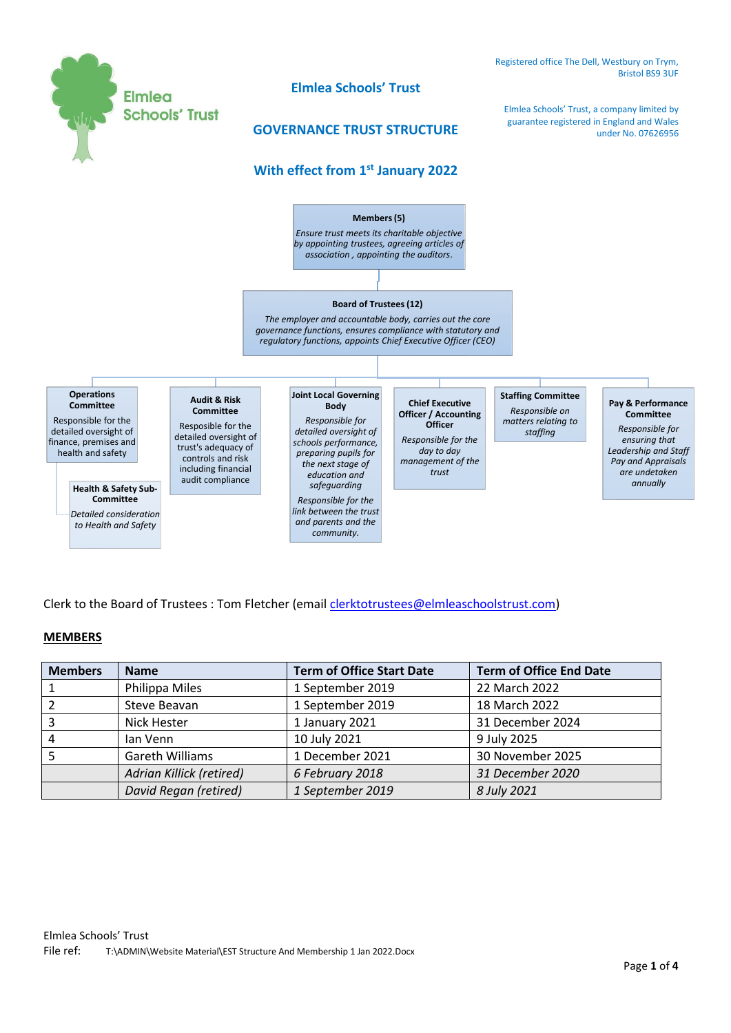

Clerk to the Board of Trustees : Tom Fletcher (emai[l clerktotrustees@elmleaschoolstrust.com\)](mailto:clerktotrustees@elmleaschoolstrust.com)

## **MEMBERS**

| <b>Members</b> | <b>Name</b>                     | <b>Term of Office Start Date</b> | <b>Term of Office End Date</b> |  |
|----------------|---------------------------------|----------------------------------|--------------------------------|--|
|                | Philippa Miles                  | 1 September 2019                 | 22 March 2022                  |  |
|                | Steve Beavan                    | 1 September 2019                 | 18 March 2022                  |  |
|                | <b>Nick Hester</b>              | 1 January 2021                   | 31 December 2024               |  |
|                | lan Venn                        | 10 July 2021                     | 9 July 2025                    |  |
|                | <b>Gareth Williams</b>          | 1 December 2021                  | 30 November 2025               |  |
|                | <b>Adrian Killick (retired)</b> | 6 February 2018                  | 31 December 2020               |  |
|                | David Regan (retired)           | 1 September 2019                 | 8 July 2021                    |  |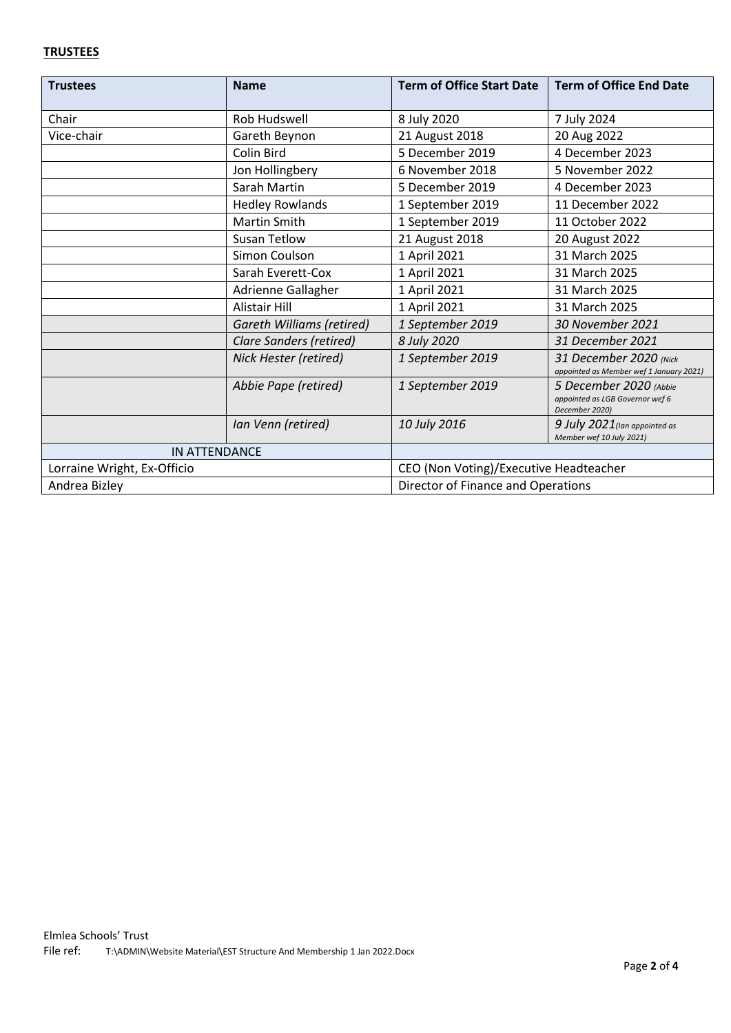## **TRUSTEES**

| <b>Trustees</b>             | <b>Name</b>                      | <b>Term of Office Start Date</b>       | <b>Term of Office End Date</b>                                              |  |
|-----------------------------|----------------------------------|----------------------------------------|-----------------------------------------------------------------------------|--|
| Chair                       | Rob Hudswell                     | 8 July 2020                            | 7 July 2024                                                                 |  |
| Vice-chair                  | Gareth Beynon                    | 21 August 2018                         | 20 Aug 2022                                                                 |  |
|                             | Colin Bird                       | 5 December 2019                        | 4 December 2023                                                             |  |
|                             | Jon Hollingbery                  | 6 November 2018                        | 5 November 2022                                                             |  |
|                             | Sarah Martin                     | 5 December 2019                        | 4 December 2023                                                             |  |
|                             | <b>Hedley Rowlands</b>           | 1 September 2019                       | 11 December 2022                                                            |  |
|                             | <b>Martin Smith</b>              | 1 September 2019                       | 11 October 2022                                                             |  |
|                             | Susan Tetlow                     | 21 August 2018                         | 20 August 2022                                                              |  |
|                             | Simon Coulson                    | 1 April 2021                           | 31 March 2025                                                               |  |
|                             | Sarah Everett-Cox                | 1 April 2021                           | 31 March 2025                                                               |  |
|                             | Adrienne Gallagher               | 1 April 2021                           | 31 March 2025                                                               |  |
|                             | <b>Alistair Hill</b>             | 1 April 2021                           | 31 March 2025                                                               |  |
|                             | <b>Gareth Williams (retired)</b> | 1 September 2019                       | 30 November 2021                                                            |  |
|                             | <b>Clare Sanders (retired)</b>   | 8 July 2020                            | 31 December 2021                                                            |  |
|                             | Nick Hester (retired)            | 1 September 2019                       | 31 December 2020 (Nick<br>appointed as Member wef 1 January 2021)           |  |
|                             | Abbie Pape (retired)             | 1 September 2019                       | 5 December 2020 (Abbie<br>appointed as LGB Governor wef 6<br>December 2020) |  |
|                             | Ian Venn (retired)               | 10 July 2016                           | 9 July 2021 (Ian appointed as<br>Member wef 10 July 2021)                   |  |
| <b>IN ATTENDANCE</b>        |                                  |                                        |                                                                             |  |
| Lorraine Wright, Ex-Officio |                                  | CEO (Non Voting)/Executive Headteacher |                                                                             |  |
| Andrea Bizley               |                                  | Director of Finance and Operations     |                                                                             |  |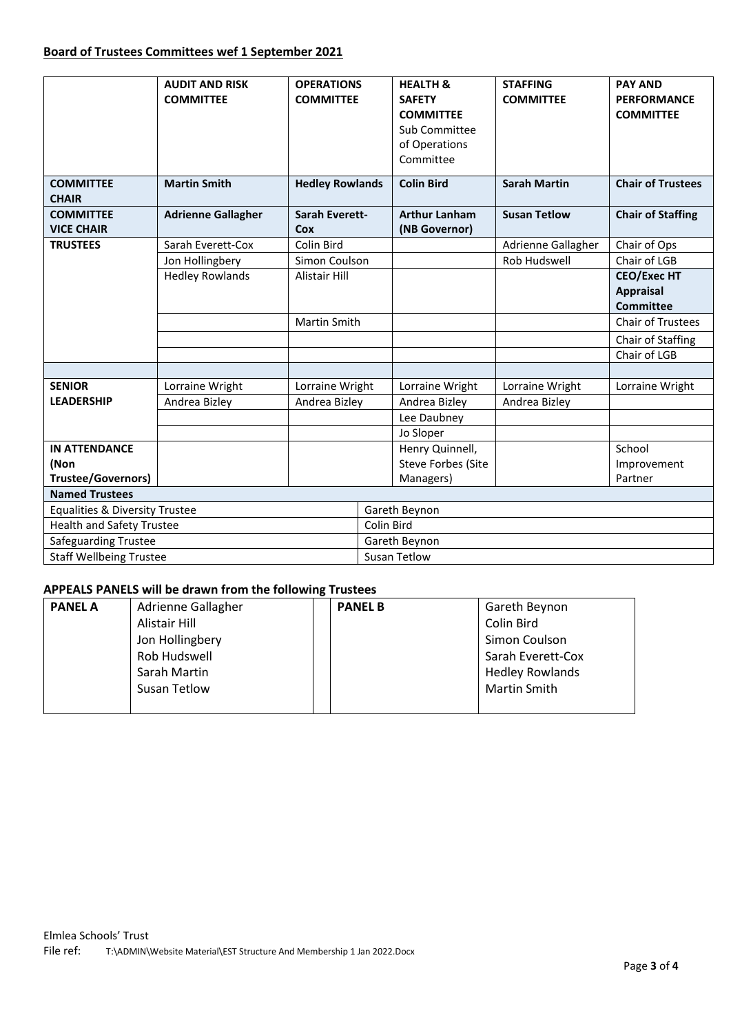## **Board of Trustees Committees wef 1 September 2021**

|                                           | <b>AUDIT AND RISK</b><br><b>COMMITTEE</b> | <b>OPERATIONS</b><br><b>COMMITTEE</b> |  | <b>HEALTH &amp;</b><br><b>SAFETY</b><br><b>COMMITTEE</b><br>Sub Committee<br>of Operations<br>Committee | <b>STAFFING</b><br><b>COMMITTEE</b> | <b>PAY AND</b><br><b>PERFORMANCE</b><br><b>COMMITTEE</b> |  |  |
|-------------------------------------------|-------------------------------------------|---------------------------------------|--|---------------------------------------------------------------------------------------------------------|-------------------------------------|----------------------------------------------------------|--|--|
| <b>COMMITTEE</b><br><b>CHAIR</b>          | <b>Martin Smith</b>                       | <b>Hedley Rowlands</b>                |  | <b>Colin Bird</b>                                                                                       | <b>Sarah Martin</b>                 | <b>Chair of Trustees</b>                                 |  |  |
| <b>COMMITTEE</b><br><b>VICE CHAIR</b>     | <b>Adrienne Gallagher</b>                 | Sarah Everett-<br>Cox                 |  | <b>Arthur Lanham</b><br>(NB Governor)                                                                   | <b>Susan Tetlow</b>                 | <b>Chair of Staffing</b>                                 |  |  |
| <b>TRUSTEES</b>                           | Sarah Everett-Cox                         | Colin Bird                            |  |                                                                                                         | Adrienne Gallagher                  | Chair of Ops                                             |  |  |
|                                           | Jon Hollingbery                           | Simon Coulson                         |  |                                                                                                         | Rob Hudswell                        | Chair of LGB                                             |  |  |
|                                           | <b>Hedley Rowlands</b>                    | <b>Alistair Hill</b>                  |  |                                                                                                         |                                     | <b>CEO/Exec HT</b>                                       |  |  |
|                                           |                                           |                                       |  |                                                                                                         |                                     | <b>Appraisal</b>                                         |  |  |
|                                           |                                           |                                       |  |                                                                                                         |                                     | <b>Committee</b>                                         |  |  |
|                                           |                                           | Martin Smith                          |  |                                                                                                         |                                     | Chair of Trustees                                        |  |  |
|                                           |                                           |                                       |  |                                                                                                         |                                     | Chair of Staffing                                        |  |  |
|                                           |                                           |                                       |  |                                                                                                         |                                     | Chair of LGB                                             |  |  |
|                                           |                                           |                                       |  |                                                                                                         |                                     |                                                          |  |  |
| <b>SENIOR</b>                             | Lorraine Wright                           | Lorraine Wright                       |  | Lorraine Wright                                                                                         | Lorraine Wright                     | Lorraine Wright                                          |  |  |
| <b>LEADERSHIP</b>                         | Andrea Bizley                             | Andrea Bizley                         |  | Andrea Bizley                                                                                           | Andrea Bizley                       |                                                          |  |  |
|                                           |                                           |                                       |  | Lee Daubney                                                                                             |                                     |                                                          |  |  |
|                                           |                                           |                                       |  | Jo Sloper                                                                                               |                                     |                                                          |  |  |
| <b>IN ATTENDANCE</b>                      |                                           |                                       |  | Henry Quinnell,                                                                                         |                                     | School                                                   |  |  |
| (Non                                      |                                           |                                       |  | Steve Forbes (Site                                                                                      |                                     | Improvement                                              |  |  |
| <b>Trustee/Governors)</b>                 |                                           |                                       |  | Managers)                                                                                               |                                     | Partner                                                  |  |  |
| <b>Named Trustees</b>                     |                                           |                                       |  |                                                                                                         |                                     |                                                          |  |  |
| <b>Equalities &amp; Diversity Trustee</b> |                                           |                                       |  | Gareth Beynon                                                                                           |                                     |                                                          |  |  |
| <b>Health and Safety Trustee</b>          |                                           |                                       |  | Colin Bird                                                                                              |                                     |                                                          |  |  |
| Safeguarding Trustee                      |                                           |                                       |  | Gareth Beynon                                                                                           |                                     |                                                          |  |  |
| <b>Staff Wellbeing Trustee</b>            |                                           |                                       |  | Susan Tetlow                                                                                            |                                     |                                                          |  |  |

## **APPEALS PANELS will be drawn from the following Trustees**

| <b>PANEL A</b> | Adrienne Gallagher | <b>PANEL B</b> | Gareth Beynon          |  |
|----------------|--------------------|----------------|------------------------|--|
|                | Alistair Hill      |                | Colin Bird             |  |
|                | Jon Hollingbery    |                | Simon Coulson          |  |
|                | Rob Hudswell       |                | Sarah Everett-Cox      |  |
|                | Sarah Martin       |                | <b>Hedley Rowlands</b> |  |
|                | Susan Tetlow       |                | Martin Smith           |  |
|                |                    |                |                        |  |